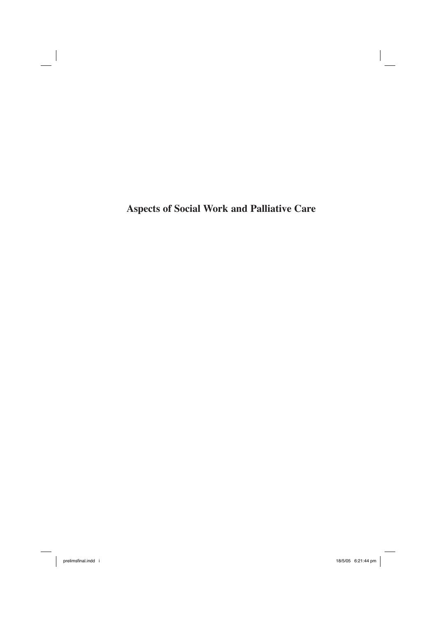**Aspects of Social Work and Palliative Care**

 $\overline{\phantom{a}}$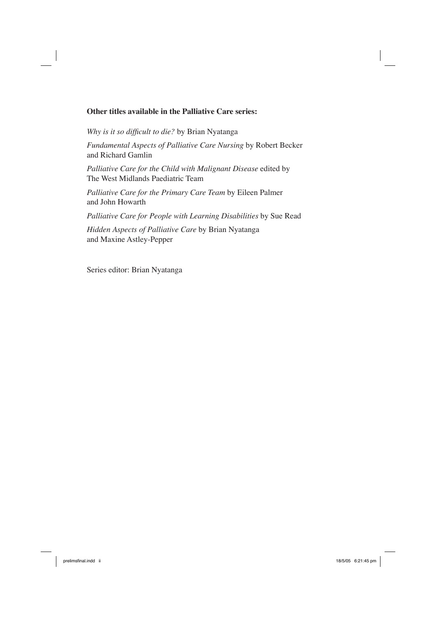# **Other titles available in the Palliative Care series:**

*Why is it so difficult to die?* by Brian Nyatanga

*Fundamental Aspects of Palliative Care Nursing* by Robert Becker and Richard Gamlin

*Palliative Care for the Child with Malignant Disease* edited by The West Midlands Paediatric Team

*Palliative Care for the Primary Care Team* by Eileen Palmer and John Howarth

*Palliative Care for People with Learning Disabilities* by Sue Read

*Hidden Aspects of Palliative Care* by Brian Nyatanga and Maxine Astley-Pepper

Series editor: Brian Nyatanga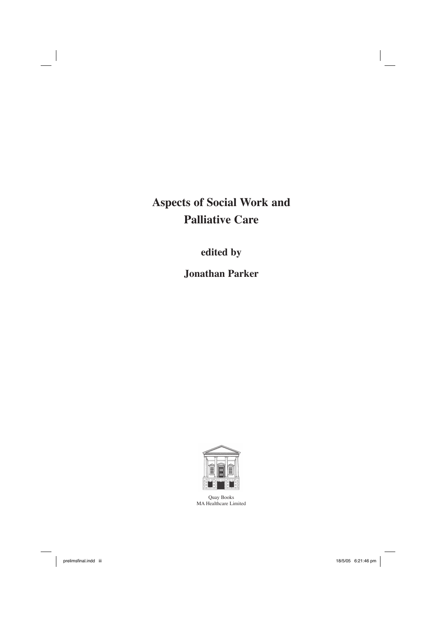# **Aspects of Social Work and Palliative Care**

**edited by**

**Jonathan Parker**



Quay Books MA Healthcare Limited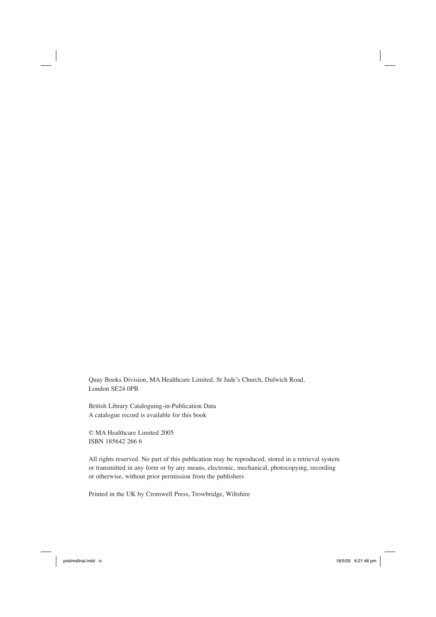Quay Books Division, MA Healthcare Limited, St Jude's Church, Dulwich Road, London SE24 0PB

British Library Cataloguing-in-Publication Data A catalogue record is available for this book

© MA Healthcare Limited 2005 ISBN 185642 266 6

All rights reserved. No part of this publication may be reproduced, stored in a retrieval system or transmitted in any form or by any means, electronic, mechanical, photocopying, recording or otherwise, without prior permission from the publishers

Printed in the UK by Cromwell Press, Trowbridge, Wiltshire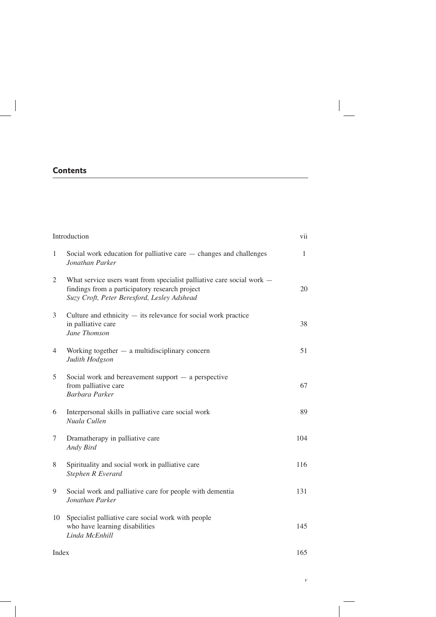# **Contents**

 $\overline{\phantom{a}}$ 

 $\blacksquare$ 

| Introduction |                                                                                                                                                                        | vii          |
|--------------|------------------------------------------------------------------------------------------------------------------------------------------------------------------------|--------------|
| $\mathbf{1}$ | Social work education for palliative care $-$ changes and challenges<br>Jonathan Parker                                                                                | $\mathbf{1}$ |
| 2            | What service users want from specialist palliative care social work -<br>findings from a participatory research project<br>Suzy Croft, Peter Beresford, Lesley Adshead | 20           |
| 3            | Culture and ethnicity $-$ its relevance for social work practice<br>in palliative care<br>Jane Thomson                                                                 | 38           |
| 4            | Working together $-$ a multidisciplinary concern<br>Judith Hodgson                                                                                                     | 51           |
| 5            | Social work and bereavement support $-$ a perspective<br>from palliative care<br><b>Barbara Parker</b>                                                                 | 67           |
| 6            | Interpersonal skills in palliative care social work<br>Nuala Cullen                                                                                                    | 89           |
| 7            | Dramatherapy in palliative care<br>Andy Bird                                                                                                                           | 104          |
| 8            | Spirituality and social work in palliative care<br>Stephen R Everard                                                                                                   | 116          |
| 9            | Social work and palliative care for people with dementia<br>Jonathan Parker                                                                                            | 131          |
| 10           | Specialist palliative care social work with people<br>who have learning disabilities<br>Linda McEnhill                                                                 | 145          |
| Index        |                                                                                                                                                                        | 165          |

*v*

 $\begin{array}{c} \hline \end{array}$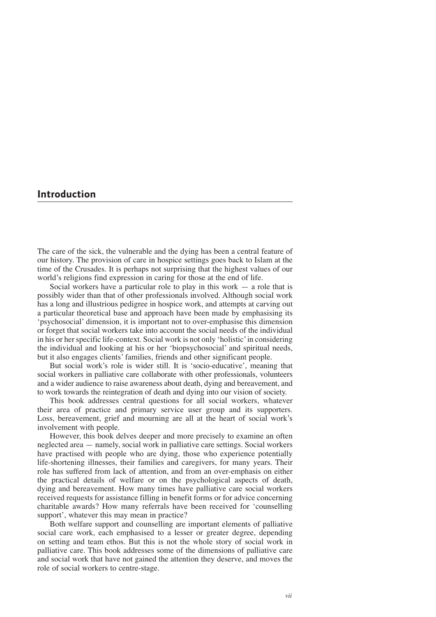# **Introduction**

The care of the sick, the vulnerable and the dying has been a central feature of our history. The provision of care in hospice settings goes back to Islam at the time of the Crusades. It is perhaps not surprising that the highest values of our world's religions find expression in caring for those at the end of life.

Social workers have a particular role to play in this work  $-$  a role that is possibly wider than that of other professionals involved. Although social work has a long and illustrious pedigree in hospice work, and attempts at carving out a particular theoretical base and approach have been made by emphasising its ʻpsychosocial' dimension, it is important not to over-emphasise this dimension or forget that social workers take into account the social needs of the individual in his or her specific life-context. Social work is not only ʻholistic' in considering the individual and looking at his or her ʻbiopsychosocial' and spiritual needs, but it also engages clients' families, friends and other significant people.

But social work's role is wider still. It is ʻsocio-educative', meaning that social workers in palliative care collaborate with other professionals, volunteers and a wider audience to raise awareness about death, dying and bereavement, and to work towards the reintegration of death and dying into our vision of society.

This book addresses central questions for all social workers, whatever their area of practice and primary service user group and its supporters. Loss, bereavement, grief and mourning are all at the heart of social work's involvement with people.

However, this book delves deeper and more precisely to examine an often neglected area — namely, social work in palliative care settings. Social workers have practised with people who are dying, those who experience potentially life-shortening illnesses, their families and caregivers, for many years. Their role has suffered from lack of attention, and from an over-emphasis on either the practical details of welfare or on the psychological aspects of death, dying and bereavement. How many times have palliative care social workers received requests for assistance filling in benefit forms or for advice concerning charitable awards? How many referrals have been received for ʻcounselling support', whatever this may mean in practice?

Both welfare support and counselling are important elements of palliative social care work, each emphasised to a lesser or greater degree, depending on setting and team ethos. But this is not the whole story of social work in palliative care. This book addresses some of the dimensions of palliative care and social work that have not gained the attention they deserve, and moves the role of social workers to centre-stage.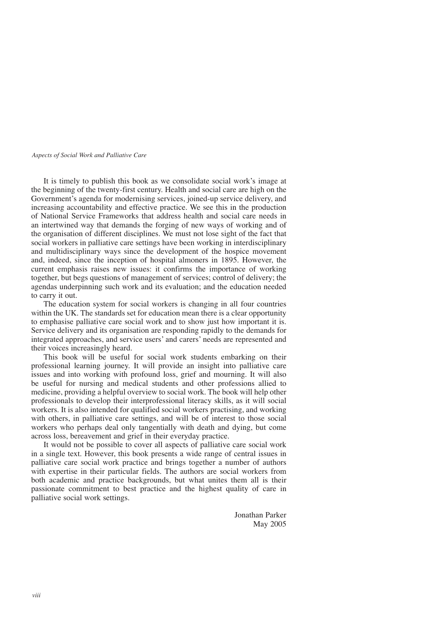#### *Aspects of Social Work and Palliative Care*

It is timely to publish this book as we consolidate social work's image at the beginning of the twenty-first century. Health and social care are high on the Government's agenda for modernising services, joined-up service delivery, and increasing accountability and effective practice. We see this in the production of National Service Frameworks that address health and social care needs in an intertwined way that demands the forging of new ways of working and of the organisation of different disciplines. We must not lose sight of the fact that social workers in palliative care settings have been working in interdisciplinary and multidisciplinary ways since the development of the hospice movement and, indeed, since the inception of hospital almoners in 1895. However, the current emphasis raises new issues: it confirms the importance of working together, but begs questions of management of services; control of delivery; the agendas underpinning such work and its evaluation; and the education needed to carry it out.

The education system for social workers is changing in all four countries within the UK. The standards set for education mean there is a clear opportunity to emphasise palliative care social work and to show just how important it is. Service delivery and its organisation are responding rapidly to the demands for integrated approaches, and service users' and carers' needs are represented and their voices increasingly heard.

This book will be useful for social work students embarking on their professional learning journey. It will provide an insight into palliative care issues and into working with profound loss, grief and mourning. It will also be useful for nursing and medical students and other professions allied to medicine, providing a helpful overview to social work. The book will help other professionals to develop their interprofessional literacy skills, as it will social workers. It is also intended for qualified social workers practising, and working with others, in palliative care settings, and will be of interest to those social workers who perhaps deal only tangentially with death and dying, but come across loss, bereavement and grief in their everyday practice.

It would not be possible to cover all aspects of palliative care social work in a single text. However, this book presents a wide range of central issues in palliative care social work practice and brings together a number of authors with expertise in their particular fields. The authors are social workers from both academic and practice backgrounds, but what unites them all is their passionate commitment to best practice and the highest quality of care in palliative social work settings.

> Jonathan Parker May 2005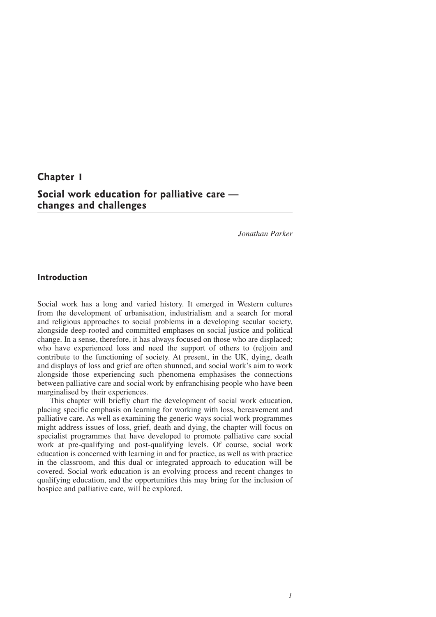# **Chapter 1**

# **Social work education for palliative care changes and challenges**

*Jonathan Parker*

# **Introduction**

Social work has a long and varied history. It emerged in Western cultures from the development of urbanisation, industrialism and a search for moral and religious approaches to social problems in a developing secular society, alongside deep-rooted and committed emphases on social justice and political change. In a sense, therefore, it has always focused on those who are displaced; who have experienced loss and need the support of others to (re)join and contribute to the functioning of society. At present, in the UK, dying, death and displays of loss and grief are often shunned, and social work's aim to work alongside those experiencing such phenomena emphasises the connections between palliative care and social work by enfranchising people who have been marginalised by their experiences.

This chapter will briefly chart the development of social work education, placing specific emphasis on learning for working with loss, bereavement and palliative care. As well as examining the generic ways social work programmes might address issues of loss, grief, death and dying, the chapter will focus on specialist programmes that have developed to promote palliative care social work at pre-qualifying and post-qualifying levels. Of course, social work education is concerned with learning in and for practice, as well as with practice in the classroom, and this dual or integrated approach to education will be covered. Social work education is an evolving process and recent changes to qualifying education, and the opportunities this may bring for the inclusion of hospice and palliative care, will be explored.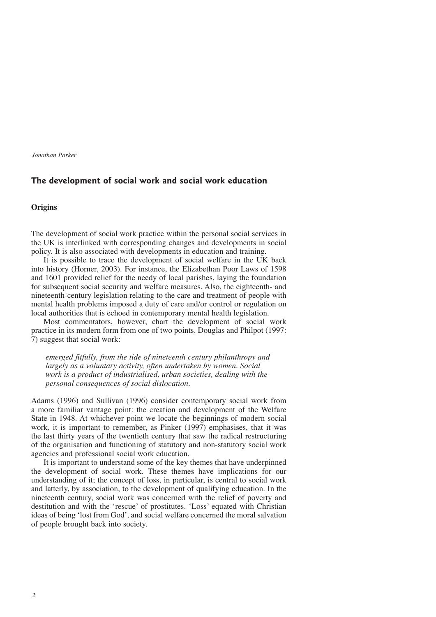# **The development of social work and social work education**

# **Origins**

The development of social work practice within the personal social services in the UK is interlinked with corresponding changes and developments in social policy. It is also associated with developments in education and training.

It is possible to trace the development of social welfare in the UK back into history (Horner, 2003). For instance, the Elizabethan Poor Laws of 1598 and 1601 provided relief for the needy of local parishes, laying the foundation for subsequent social security and welfare measures. Also, the eighteenth- and nineteenth-century legislation relating to the care and treatment of people with mental health problems imposed a duty of care and/or control or regulation on local authorities that is echoed in contemporary mental health legislation.

Most commentators, however, chart the development of social work practice in its modern form from one of two points. Douglas and Philpot (1997: 7) suggest that social work:

*emerged fitfully, from the tide of nineteenth century philanthropy and largely as a voluntary activity, often undertaken by women. Social work is a product of industrialised, urban societies, dealing with the personal consequences of social dislocation.*

Adams (1996) and Sullivan (1996) consider contemporary social work from a more familiar vantage point: the creation and development of the Welfare State in 1948. At whichever point we locate the beginnings of modern social work, it is important to remember, as Pinker (1997) emphasises, that it was the last thirty years of the twentieth century that saw the radical restructuring of the organisation and functioning of statutory and non-statutory social work agencies and professional social work education.

It is important to understand some of the key themes that have underpinned the development of social work. These themes have implications for our understanding of it; the concept of loss, in particular, is central to social work and latterly, by association, to the development of qualifying education. In the nineteenth century, social work was concerned with the relief of poverty and destitution and with the ʻrescue' of prostitutes. ʻLoss' equated with Christian ideas of being ʻlost from God', and social welfare concerned the moral salvation of people brought back into society.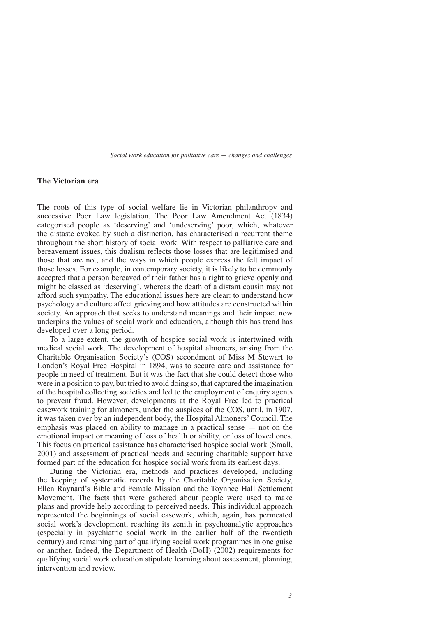#### **The Victorian era**

The roots of this type of social welfare lie in Victorian philanthropy and successive Poor Law legislation. The Poor Law Amendment Act (1834) categorised people as ʻdeserving' and ʻundeserving' poor, which, whatever the distaste evoked by such a distinction, has characterised a recurrent theme throughout the short history of social work. With respect to palliative care and bereavement issues, this dualism reflects those losses that are legitimised and those that are not, and the ways in which people express the felt impact of those losses. For example, in contemporary society, it is likely to be commonly accepted that a person bereaved of their father has a right to grieve openly and might be classed as ʻdeserving', whereas the death of a distant cousin may not afford such sympathy. The educational issues here are clear: to understand how psychology and culture affect grieving and how attitudes are constructed within society. An approach that seeks to understand meanings and their impact now underpins the values of social work and education, although this has trend has developed over a long period.

To a large extent, the growth of hospice social work is intertwined with medical social work. The development of hospital almoners, arising from the Charitable Organisation Society's (COS) secondment of Miss M Stewart to London's Royal Free Hospital in 1894, was to secure care and assistance for people in need of treatment. But it was the fact that she could detect those who were in a position to pay, but tried to avoid doing so, that captured the imagination of the hospital collecting societies and led to the employment of enquiry agents to prevent fraud. However, developments at the Royal Free led to practical casework training for almoners, under the auspices of the COS, until, in 1907, it was taken over by an independent body, the Hospital Almoners' Council. The emphasis was placed on ability to manage in a practical sense — not on the emotional impact or meaning of loss of health or ability, or loss of loved ones. This focus on practical assistance has characterised hospice social work (Small, 2001) and assessment of practical needs and securing charitable support have formed part of the education for hospice social work from its earliest days.

During the Victorian era, methods and practices developed, including the keeping of systematic records by the Charitable Organisation Society, Ellen Raynard's Bible and Female Mission and the Toynbee Hall Settlement Movement. The facts that were gathered about people were used to make plans and provide help according to perceived needs. This individual approach represented the beginnings of social casework, which, again, has permeated social work's development, reaching its zenith in psychoanalytic approaches (especially in psychiatric social work in the earlier half of the twentieth century) and remaining part of qualifying social work programmes in one guise or another. Indeed, the Department of Health (DoH) (2002) requirements for qualifying social work education stipulate learning about assessment, planning, intervention and review.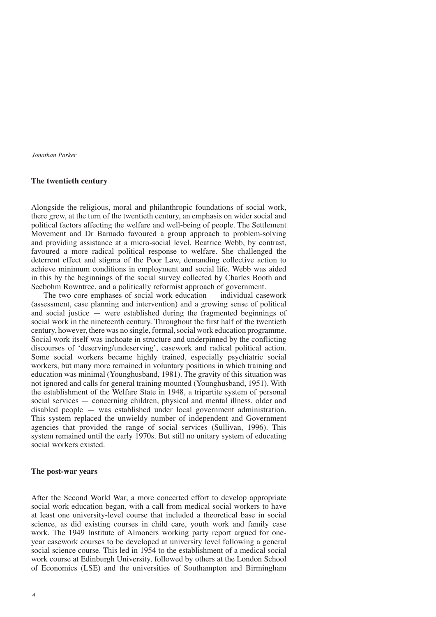# **The twentieth century**

Alongside the religious, moral and philanthropic foundations of social work, there grew, at the turn of the twentieth century, an emphasis on wider social and political factors affecting the welfare and well-being of people. The Settlement Movement and Dr Barnado favoured a group approach to problem-solving and providing assistance at a micro-social level. Beatrice Webb, by contrast, favoured a more radical political response to welfare. She challenged the deterrent effect and stigma of the Poor Law, demanding collective action to achieve minimum conditions in employment and social life. Webb was aided in this by the beginnings of the social survey collected by Charles Booth and Seebohm Rowntree, and a politically reformist approach of government.

The two core emphases of social work education — individual casework ( assessment, case planning and intervention) and a growing sense of political and social justice — were established during the fragmented beginnings of social work in the nineteenth century. Throughout the first half of the twentieth century, however, there was no single, formal, social work education programme. Social work itself was inchoate in structure and underpinned by the conflicting discourses of ʻdeserving/undeserving', casework and radical political action. Some social workers became highly trained, especially psychiatric social workers, but many more remained in voluntary positions in which training and education was minimal (Younghusband, 1981). The gravity of this situation was not ignored and calls for general training mounted (Younghusband, 1951). With the establishment of the Welfare State in 1948, a tripartite system of personal social services — concerning children, physical and mental illness, older and disabled people — was established under local government administration. This system replaced the unwieldy number of independent and Government agencies that provided the range of social services (Sullivan, 1996). This system remained until the early 1970s. But still no unitary system of educating social workers existed.

# **The post-war years**

After the Second World War, a more concerted effort to develop appropriate social work education began, with a call from medical social workers to have at least one university-level course that included a theoretical base in social science, as did existing courses in child care, youth work and family case work. The 1949 Institute of Almoners working party report argued for oneyear casework courses to be developed at university level following a general social science course. This led in 1954 to the establishment of a medical social work course at Edinburgh University, followed by others at the London School of Economics (LSE) and the universities of Southampton and Birmingham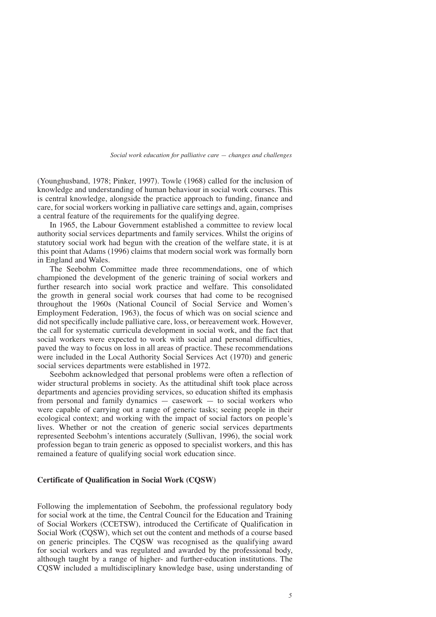(Younghusband, 1978; Pinker, 1997). Towle (1968) called for the inclusion of knowledge and understanding of human behaviour in social work courses. This is central knowledge, alongside the practice approach to funding, finance and care, for social workers working in palliative care settings and, again, comprises a central feature of the requirements for the qualifying degree.

In 1965, the Labour Government established a committee to review local authority social services departments and family services. Whilst the origins of statutory social work had begun with the creation of the welfare state, it is at this point that Adams (1996) claims that modern social work was formally born in England and Wales.

The Seebohm Committee made three recommendations, one of which championed the development of the generic training of social workers and further research into social work practice and welfare. This consolidated the growth in general social work courses that had come to be recognised throughout the 1960s (National Council of Social Service and Women's Employment Federation, 1963), the focus of which was on social science and did not specifically include palliative care, loss, or bereavement work. However, the call for systematic curricula development in social work, and the fact that social workers were expected to work with social and personal difficulties, paved the way to focus on loss in all areas of practice. These recommendations were included in the Local Authority Social Services Act (1970) and generic social services departments were established in 1972.

Seebohm acknowledged that personal problems were often a reflection of wider structural problems in society. As the attitudinal shift took place across departments and agencies providing services, so education shifted its emphasis from personal and family dynamics — casework — to social workers who were capable of carrying out a range of generic tasks; seeing people in their ecological context; and working with the impact of social factors on people's lives. Whether or not the creation of generic social services departments represented Seebohm's intentions accurately (Sullivan, 1996), the social work profession began to train generic as opposed to specialist workers, and this has remained a feature of qualifying social work education since.

#### **Certificate of Qualification in Social Work (CQSW)**

Following the implementation of Seebohm, the professional regulatory body for social work at the time, the Central Council for the Education and Training of Social Workers (CCETSW), introduced the Certificate of Qualification in Social Work (CQSW), which set out the content and methods of a course based on generic principles. The CQSW was recognised as the qualifying award for social workers and was regulated and awarded by the professional body, although taught by a range of higher- and further-education institutions. The CQSW included a multidisciplinary knowledge base, using understanding of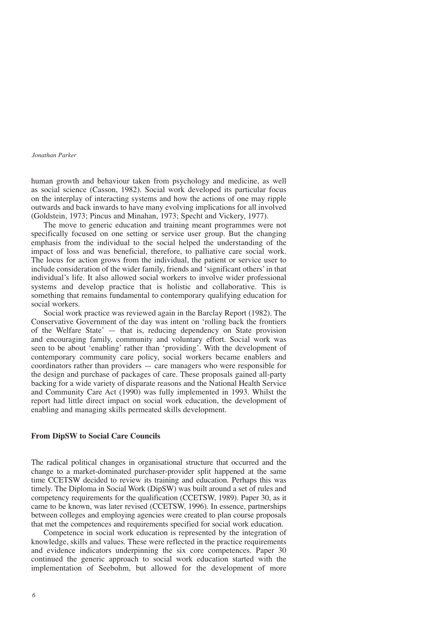human growth and behaviour taken from psychology and medicine, as well as social science (Casson, 1982). Social work developed its particular focus on the interplay of interacting systems and how the actions of one may ripple outwards and back inwards to have many evolving implications for all involved (Goldstein, 1973; Pincus and Minahan, 1973; Specht and Vickery, 1977).

The move to generic education and training meant programmes were not specifically focused on one setting or service user group. But the changing emphasis from the individual to the social helped the understanding of the impact of loss and was beneficial, therefore, to palliative care social work. The locus for action grows from the individual, the patient or service user to include consideration of the wider family, friends and ʻsignificant others' in that individual's life. It also allowed social workers to involve wider professional systems and develop practice that is holistic and collaborative. This is something that remains fundamental to contemporary qualifying education for social workers.

Social work practice was reviewed again in the Barclay Report (1982). The Conservative Government of the day was intent on ʻrolling back the frontiers of the Welfare State' — that is, reducing dependency on State provision and encouraging family, community and voluntary effort. Social work was seen to be about ʻenabling' rather than ʻproviding'. With the development of contemporary community care policy, social workers became enablers and coordinators rather than providers — care managers who were responsible for the design and purchase of packages of care. These proposals gained all-party backing for a wide variety of disparate reasons and the National Health Service and Community Care Act (1990) was fully implemented in 1993. Whilst the report had little direct impact on social work education, the development of enabling and managing skills permeated skills development.

#### **From DipSW to Social Care Councils**

The radical political changes in organisational structure that occurred and the change to a market-dominated purchaser-provider split happened at the same time CCETSW decided to review its training and education. Perhaps this was timely. The Diploma in Social Work (DipSW) was built around a set of rules and competency requirements for the qualification (CCETSW, 1989). Paper 30, as it came to be known, was later revised (CCETSW, 1996). In essence, partnerships between colleges and employing agencies were created to plan course proposals that met the competences and requirements specified for social work education.

Competence in social work education is represented by the integration of knowledge, skills and values. These were reflected in the practice requirements and evidence indicators underpinning the six core competences. Paper 30 continued the generic approach to social work education started with the implementation of Seebohm, but allowed for the development of more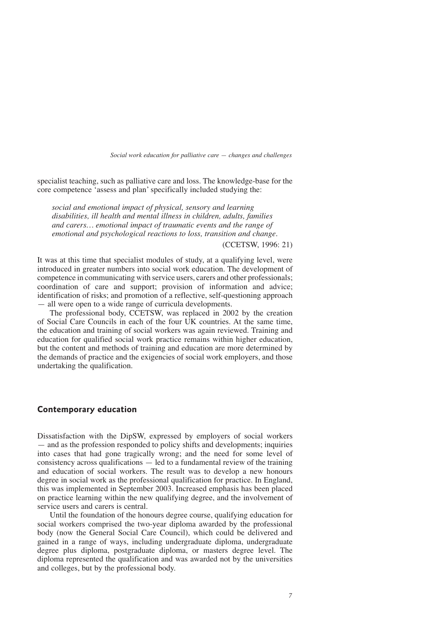specialist teaching, such as palliative care and loss. The knowledge-base for the core competence ʻassess and plan' specifically included studying the:

*social and emotional impact of physical, sensory and learning disabilities, ill health and mental illness in children, adults, families and carers… emotional impact of traumatic events and the range of emotional and psychological reactions to loss, transition and change.*

# (CCETSW, 1996: 21)

It was at this time that specialist modules of study, at a qualifying level, were introduced in greater numbers into social work education. The development of competence in communicating with service users, carers and other professionals; coordination of care and support; provision of information and advice; identification of risks; and promotion of a reflective, self-questioning approach — all were open to a wide range of curricula developments.

The professional body, CCETSW, was replaced in 2002 by the creation of Social Care Councils in each of the four UK countries. At the same time, the education and training of social workers was again reviewed. Training and education for qualified social work practice remains within higher education, but the content and methods of training and education are more determined by the demands of practice and the exigencies of social work employers, and those undertaking the qualification.

# **Contemporary education**

Dissatisfaction with the DipSW, expressed by employers of social workers — and as the profession responded to policy shifts and developments; inquiries into cases that had gone tragically wrong; and the need for some level of consistency across qualifications — led to a fundamental review of the training and education of social workers. The result was to develop a new honours degree in social work as the professional qualification for practice. In England, this was implemented in September 2003. Increased emphasis has been placed on practice learning within the new qualifying degree, and the involvement of service users and carers is central.

Until the foundation of the honours degree course, qualifying education for social workers comprised the two-year diploma awarded by the professional body (now the General Social Care Council), which could be delivered and gained in a range of ways, including undergraduate diploma, undergraduate degree plus diploma, postgraduate diploma, or masters degree level. The diploma represented the qualification and was awarded not by the universities and colleges, but by the professional body.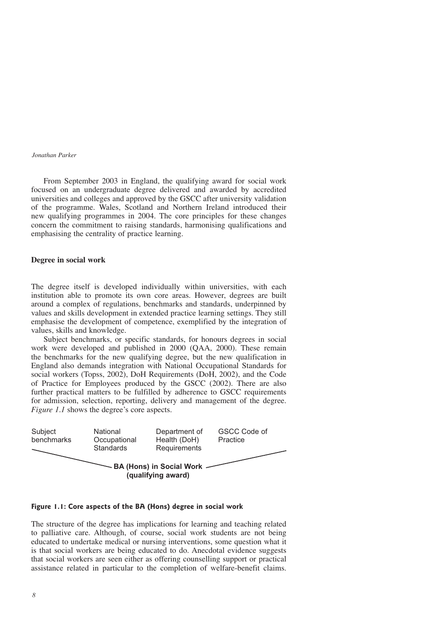From September 2003 in England, the qualifying award for social work focused on an undergraduate degree delivered and awarded by accredited universities and colleges and approved by the GSCC after university validation of the programme. Wales, Scotland and Northern Ireland introduced their new qualifying programmes in 2004. The core principles for these changes concern the commitment to raising standards, harmonising qualifications and emphasising the centrality of practice learning.

# **Degree in social work**

The degree itself is developed individually within universities, with each institution able to promote its own core areas. However, degrees are built around a complex of regulations, benchmarks and standards, underpinned by values and skills development in extended practice learning settings. They still emphasise the development of competence, exemplified by the integration of values, skills and knowledge.

Subject benchmarks, or specific standards, for honours degrees in social work were developed and published in 2000 (QAA, 2000). These remain the benchmarks for the new qualifying degree, but the new qualification in England also demands integration with National Occupational Standards for social workers (Topss, 2002), DoH Requirements (DoH, 2002), and the Code of Practice for Employees produced by the GSCC (2002). There are also further practical matters to be fulfilled by adherence to GSCC requirements for admission, selection, reporting, delivery and management of the degree. *Figure 1.1* shows the degree's core aspects.



# **Figure 1.1: Core aspects of the BA (Hons) degree in social work**

The structure of the degree has implications for learning and teaching related to palliative care. Although, of course, social work students are not being educated to undertake medical or nursing interventions, some question what it is that social workers are being educated to do. Anecdotal evidence suggests that social workers are seen either as offering counselling support or practical assistance related in particular to the completion of welfare-benefit claims.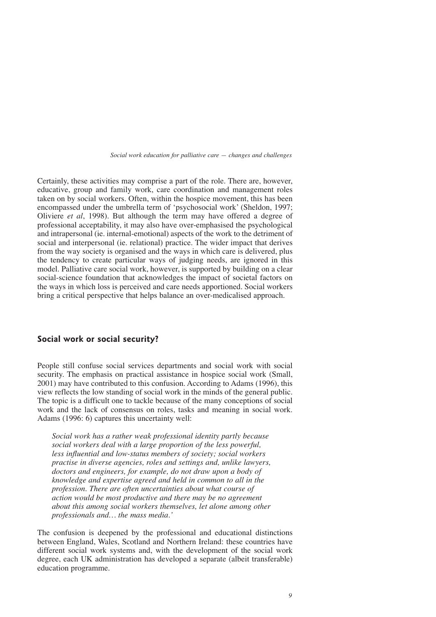Certainly, these activities may comprise a part of the role. There are, however, educative, group and family work, care coordination and management roles taken on by social workers. Often, within the hospice movement, this has been encompassed under the umbrella term of 'psychosocial work' (Sheldon, 1997; Oliviere *et al*, 1998). But although the term may have offered a degree of professional acceptability, it may also have over-emphasised the psychological and intrapersonal (ie. internal-emotional) aspects of the work to the detriment of social and interpersonal (ie. relational) practice. The wider impact that derives from the way society is organised and the ways in which care is delivered, plus the tendency to create particular ways of judging needs, are ignored in this model. Palliative care social work, however, is supported by building on a clear social-science foundation that acknowledges the impact of societal factors on the ways in which loss is perceived and care needs apportioned. Social workers bring a critical perspective that helps balance an over-medicalised approach.

# **Social work or social security?**

People still confuse social services departments and social work with social security. The emphasis on practical assistance in hospice social work (Small, 2001) may have contributed to this confusion. According to Adams (1996), this view reflects the low standing of social work in the minds of the general public. The topic is a difficult one to tackle because of the many conceptions of social work and the lack of consensus on roles, tasks and meaning in social work. Adams (1996: 6) captures this uncertainty well:

*Social work has a rather weak professional identity partly because social workers deal with a large proportion of the less powerful, less influential and low-status members of society; social workers practise in diverse agencies, roles and settings and, unlike lawyers, doctors and engineers, for example, do not draw upon a body of knowledge and expertise agreed and held in common to all in the profession. There are often uncertainties about what course of action would be most productive and there may be no agreement about this among social workers themselves, let alone among other professionals and… the mass media.'*

The confusion is deepened by the professional and educational distinctions between England, Wales, Scotland and Northern Ireland: these countries have different social work systems and, with the development of the social work degree, each UK administration has developed a separate (albeit transferable) education programme.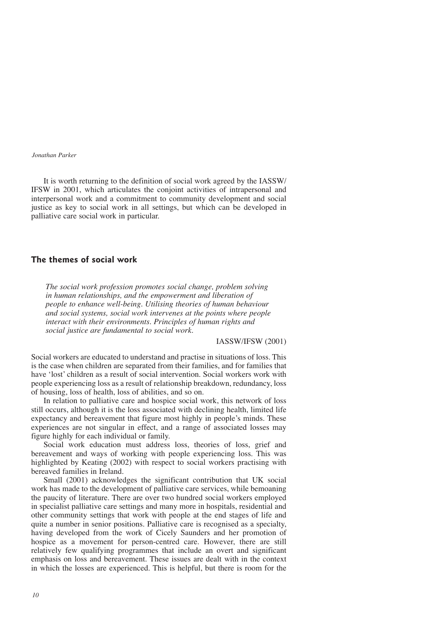It is worth returning to the definition of social work agreed by the IASSW/ IFSW in 2001, which articulates the conjoint activities of intrapersonal and interpersonal work and a commitment to community development and social justice as key to social work in all settings, but which can be developed in palliative care social work in particular.

# **The themes of social work**

*The social work profession promotes social change, problem solving in human relationships, and the empowerment and liberation of people to enhance well-being. Utilising theories of human behaviour and social systems, social work intervenes at the points where people interact with their environments. Principles of human rights and social justice are fundamental to social work.*

# IASSW/IFSW (2001)

Social workers are educated to understand and practise in situations of loss. This is the case when children are separated from their families, and for families that have ʻlost' children as a result of social intervention. Social workers work with people experiencing loss as a result of relationship breakdown, redundancy, loss of housing, loss of health, loss of abilities, and so on.

In relation to palliative care and hospice social work, this network of loss still occurs, although it is the loss associated with declining health, limited life expectancy and bereavement that figure most highly in people's minds. These experiences are not singular in effect, and a range of associated losses may figure highly for each individual or family.

Social work education must address loss, theories of loss, grief and bereavement and ways of working with people experiencing loss. This was highlighted by Keating (2002) with respect to social workers practising with bereaved families in Ireland.

Small (2001) acknowledges the significant contribution that UK social work has made to the development of palliative care services, while bemoaning the paucity of literature. There are over two hundred social workers employed in specialist palliative care settings and many more in hospitals, residential and other community settings that work with people at the end stages of life and quite a number in senior positions. Palliative care is recognised as a specialty, having developed from the work of Cicely Saunders and her promotion of hospice as a movement for person-centred care. However, there are still relatively few qualifying programmes that include an overt and significant emphasis on loss and bereavement. These issues are dealt with in the context in which the losses are experienced. This is helpful, but there is room for the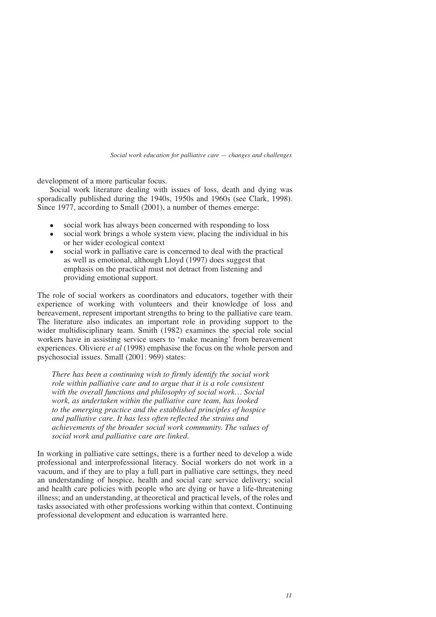development of a more particular focus.

Social work literature dealing with issues of loss, death and dying was sporadically published during the 1940s, 1950s and 1960s (see Clark, 1998). Since 1977, according to Small (2001), a number of themes emerge:

- social work has always been concerned with responding to loss
- social work brings a whole system view, placing the individual in his or her wider ecological context
- social work in palliative care is concerned to deal with the practical as well as emotional, although Lloyd (1997) does suggest that emphasis on the practical must not detract from listening and providing emotional support.

The role of social workers as coordinators and educators, together with their experience of working with volunteers and their knowledge of loss and bereavement, represent important strengths to bring to the palliative care team. The literature also indicates an important role in providing support to the wider multidisciplinary team. Smith (1982) examines the special role social workers have in assisting service users to ʻmake meaning' from bereavement experiences. Oliviere *et al* (1998) emphasise the focus on the whole person and psychosocial issues. Small (2001: 969) states:

*There has been a continuing wish to firmly identify the social work role within palliative care and to argue that it is a role consistent with the overall functions and philosophy of social work… Social work, as undertaken within the palliative care team, has looked to the emerging practice and the established principles of hospice and palliative care. It has less often reflected the strains and achievements of the broader social work community. The values of social work and palliative care are linked.*

In working in palliative care settings, there is a further need to develop a wide professional and interprofessional literacy. Social workers do not work in a vacuum, and if they are to play a full part in palliative care settings, they need an understanding of hospice, health and social care service delivery; social and health care policies with people who are dying or have a life-threatening illness; and an understanding, at theoretical and practical levels, of the roles and tasks associated with other professions working within that context. Continuing professional development and education is warranted here.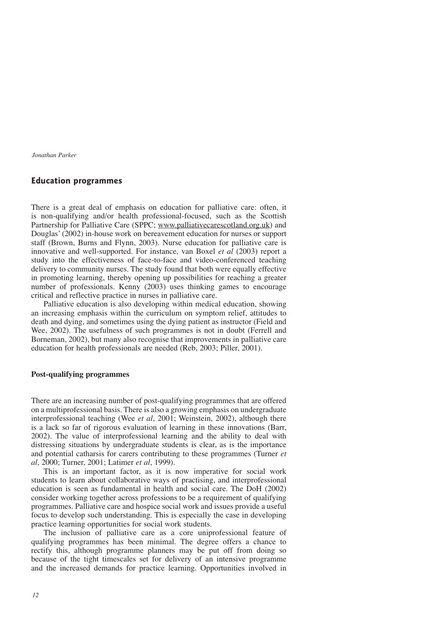### **Education programmes**

There is a great deal of emphasis on education for palliative care: often, it is non-qualifying and/or health professional-focused, such as the Scottish Partnership for Palliative Care (SPPC; www.palliativecarescotland.org.uk) and Douglas' (2002) in-house work on bereavement education for nurses or support staff (Brown, Burns and Flynn, 2003). Nurse education for palliative care is innovative and well-supported. For instance, van Boxel *et al* (2003) report a study into the effectiveness of face-to-face and video-conferenced teaching delivery to community nurses. The study found that both were equally effective in promoting learning, thereby opening up possibilities for reaching a greater number of professionals. Kenny (2003) uses thinking games to encourage critical and reflective practice in nurses in palliative care.

Palliative education is also developing within medical education, showing an increasing emphasis within the curriculum on symptom relief, attitudes to death and dying, and sometimes using the dying patient as instructor (Field and Wee, 2002). The usefulness of such programmes is not in doubt (Ferrell and Borneman, 2002), but many also recognise that improvements in palliative care education for health professionals are needed (Reb, 2003; Piller, 2001).

# **Post-qualifying programmes**

There are an increasing number of post-qualifying programmes that are offered on a multiprofessional basis. There is also a growing emphasis on undergraduate interprofessional teaching (Wee *et al*, 2001; Weinstein, 2002), although there is a lack so far of rigorous evaluation of learning in these innovations (Barr, 2002). The value of interprofessional learning and the ability to deal with distressing situations by undergraduate students is clear, as is the importance and potential catharsis for carers contributing to these programmes (Turner *et al*, 2000; Turner, 2001; Latimer *et al*, 1999).

This is an important factor, as it is now imperative for social work students to learn about collaborative ways of practising, and interprofessional education is seen as fundamental in health and social care. The DoH (2002) consider working together across professions to be a requirement of qualifying programmes. Palliative care and hospice social work and issues provide a useful focus to develop such understanding. This is especially the case in developing practice learning opportunities for social work students.

The inclusion of palliative care as a core uniprofessional feature of qualifying programmes has been minimal. The degree offers a chance to rectify this, although programme planners may be put off from doing so because of the tight timescales set for delivery of an intensive programme and the increased demands for practice learning. Opportunities involved in